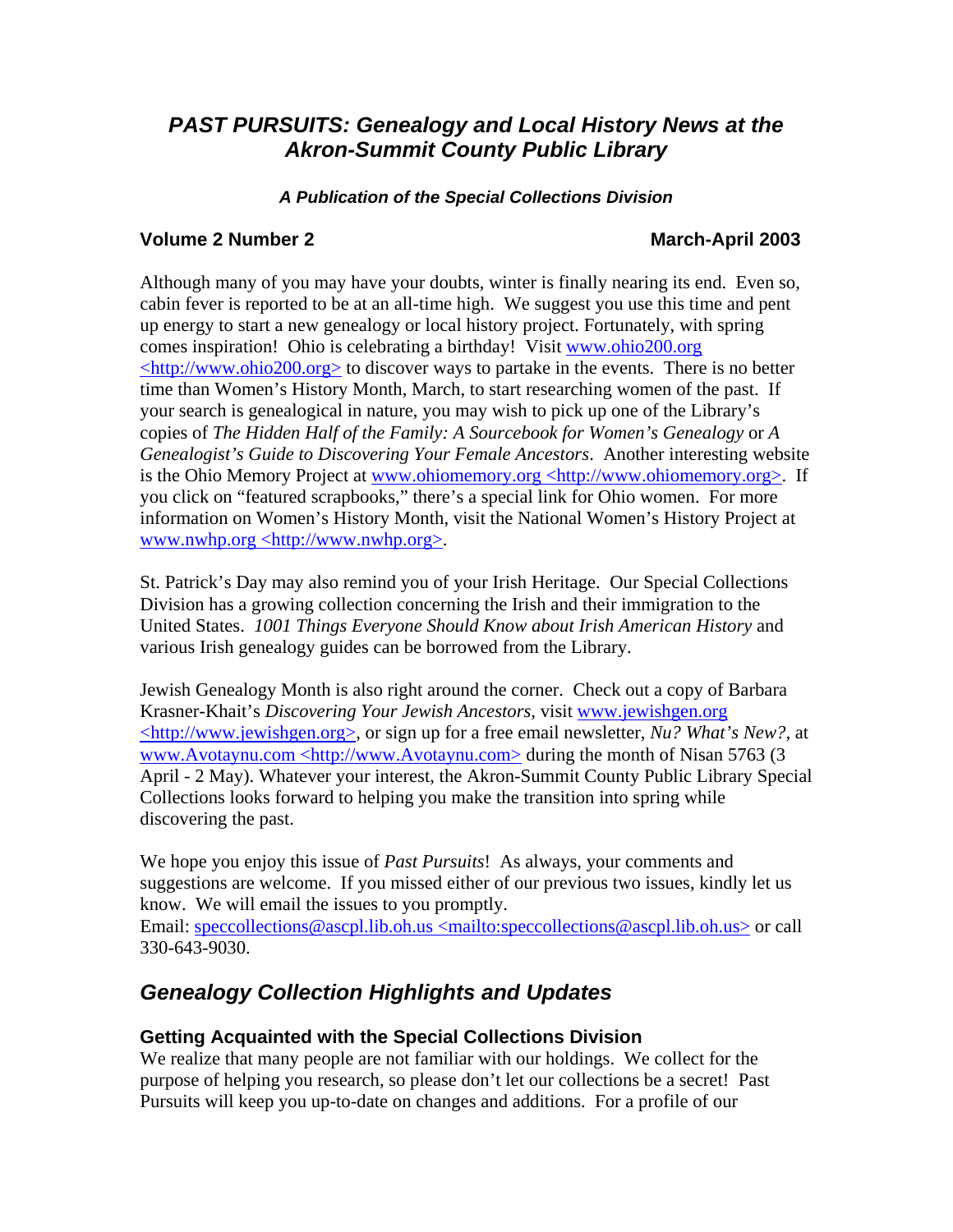# *PAST PURSUITS: Genealogy and Local History News at the Akron-Summit County Public Library*

### *A Publication of the Special Collections Division*

### **Volume 2 Number 2 March-April 2003**

Although many of you may have your doubts, winter is finally nearing its end. Even so, cabin fever is reported to be at an all-time high. We suggest you use this time and pent up energy to start a new genealogy or local history project. Fortunately, with spring comes inspiration! Ohio is celebrating a birthday! Visit www.ohio200.org  $\langle \text{http://www.ohio200.org>}$  to discover ways to partake in the events. There is no better time than Women's History Month, March, to start researching women of the past. If your search is genealogical in nature, you may wish to pick up one of the Library's copies of *The Hidden Half of the Family: A Sourcebook for Women's Genealogy* or *A Genealogist's Guide to Discovering Your Female Ancestors*. Another interesting website is the Ohio Memory Project at www.ohiomemory.org <http://www.ohiomemory.org>. If you click on "featured scrapbooks," there's a special link for Ohio women. For more information on Women's History Month, visit the National Women's History Project at www.nwhp.org <http://www.nwhp.org>.

St. Patrick's Day may also remind you of your Irish Heritage. Our Special Collections Division has a growing collection concerning the Irish and their immigration to the United States. *1001 Things Everyone Should Know about Irish American History* and various Irish genealogy guides can be borrowed from the Library.

Jewish Genealogy Month is also right around the corner. Check out a copy of Barbara Krasner-Khait's *Discovering Your Jewish Ancestors*, visit www.jewishgen.org <http://www.jewishgen.org>, or sign up for a free email newsletter, *Nu? What's New?,* at www.Avotaynu.com <http://www.Avotaynu.com> during the month of Nisan 5763 (3 April - 2 May). Whatever your interest, the Akron-Summit County Public Library Special Collections looks forward to helping you make the transition into spring while discovering the past.

We hope you enjoy this issue of *Past Pursuits*! As always, your comments and suggestions are welcome. If you missed either of our previous two issues, kindly let us know. We will email the issues to you promptly.

Email: speccollections@ascpl.lib.oh.us <mailto:speccollections@ascpl.lib.oh.us> or call 330-643-9030.

# *Genealogy Collection Highlights and Updates*

# **Getting Acquainted with the Special Collections Division**

We realize that many people are not familiar with our holdings. We collect for the purpose of helping you research, so please don't let our collections be a secret! Past Pursuits will keep you up-to-date on changes and additions. For a profile of our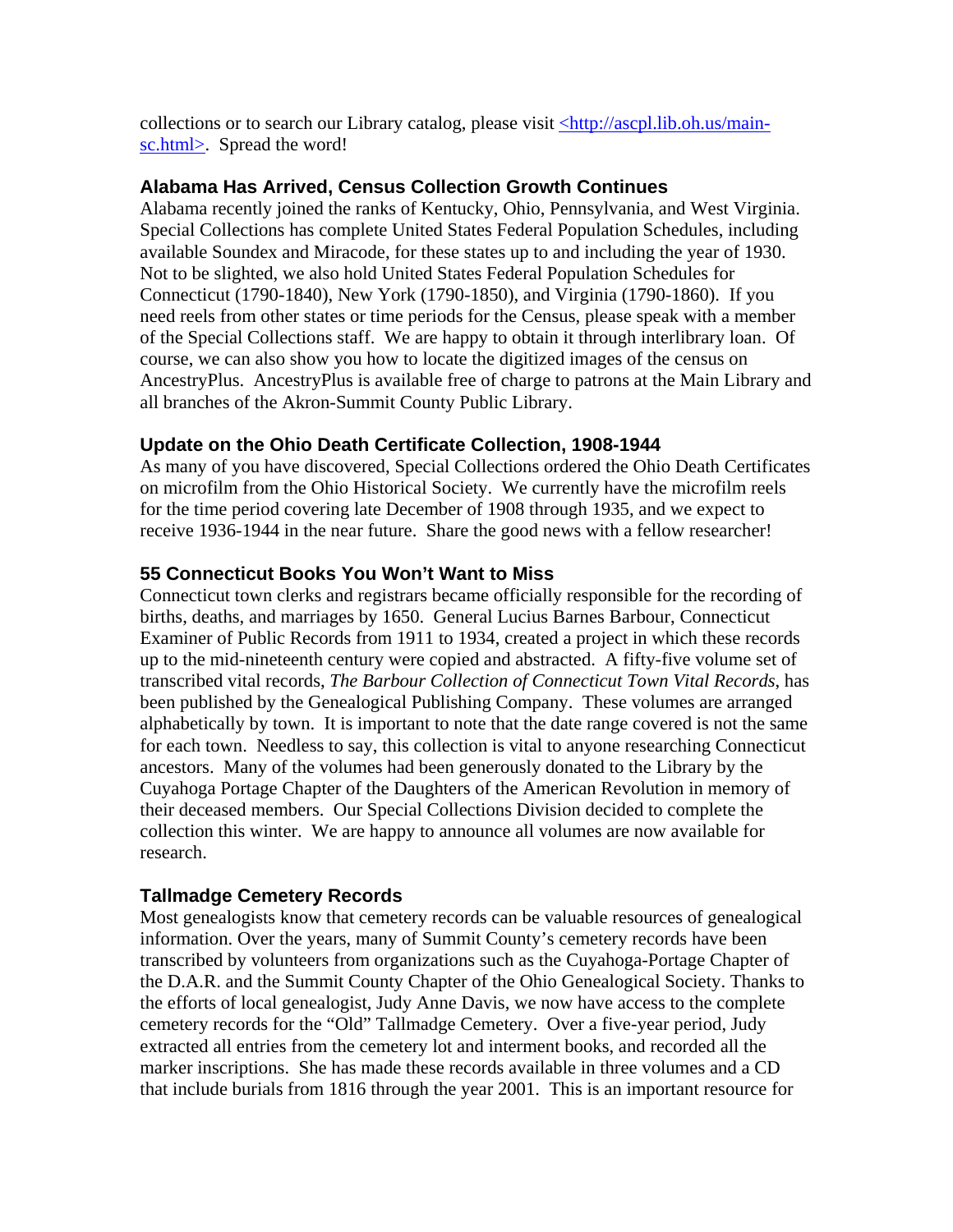collections or to search our Library catalog, please visit  $\frac{\text{http://ascpl.lib.oh.us/main-}}{\text{http://ascpl.lib.oh.us/main-}}$ sc.html>. Spread the word!

### **Alabama Has Arrived, Census Collection Growth Continues**

Alabama recently joined the ranks of Kentucky, Ohio, Pennsylvania, and West Virginia. Special Collections has complete United States Federal Population Schedules, including available Soundex and Miracode, for these states up to and including the year of 1930. Not to be slighted, we also hold United States Federal Population Schedules for Connecticut (1790-1840), New York (1790-1850), and Virginia (1790-1860). If you need reels from other states or time periods for the Census, please speak with a member of the Special Collections staff. We are happy to obtain it through interlibrary loan. Of course, we can also show you how to locate the digitized images of the census on AncestryPlus. AncestryPlus is available free of charge to patrons at the Main Library and all branches of the Akron-Summit County Public Library.

### **Update on the Ohio Death Certificate Collection, 1908-1944**

As many of you have discovered, Special Collections ordered the Ohio Death Certificates on microfilm from the Ohio Historical Society. We currently have the microfilm reels for the time period covering late December of 1908 through 1935, and we expect to receive 1936-1944 in the near future. Share the good news with a fellow researcher!

### **55 Connecticut Books You Won't Want to Miss**

Connecticut town clerks and registrars became officially responsible for the recording of births, deaths, and marriages by 1650. General Lucius Barnes Barbour, Connecticut Examiner of Public Records from 1911 to 1934, created a project in which these records up to the mid-nineteenth century were copied and abstracted. A fifty-five volume set of transcribed vital records, *The Barbour Collection of Connecticut Town Vital Records*, has been published by the Genealogical Publishing Company. These volumes are arranged alphabetically by town. It is important to note that the date range covered is not the same for each town. Needless to say, this collection is vital to anyone researching Connecticut ancestors. Many of the volumes had been generously donated to the Library by the Cuyahoga Portage Chapter of the Daughters of the American Revolution in memory of their deceased members. Our Special Collections Division decided to complete the collection this winter. We are happy to announce all volumes are now available for research.

### **Tallmadge Cemetery Records**

Most genealogists know that cemetery records can be valuable resources of genealogical information. Over the years, many of Summit County's cemetery records have been transcribed by volunteers from organizations such as the Cuyahoga-Portage Chapter of the D.A.R. and the Summit County Chapter of the Ohio Genealogical Society. Thanks to the efforts of local genealogist, Judy Anne Davis, we now have access to the complete cemetery records for the "Old" Tallmadge Cemetery. Over a five-year period, Judy extracted all entries from the cemetery lot and interment books, and recorded all the marker inscriptions. She has made these records available in three volumes and a CD that include burials from 1816 through the year 2001. This is an important resource for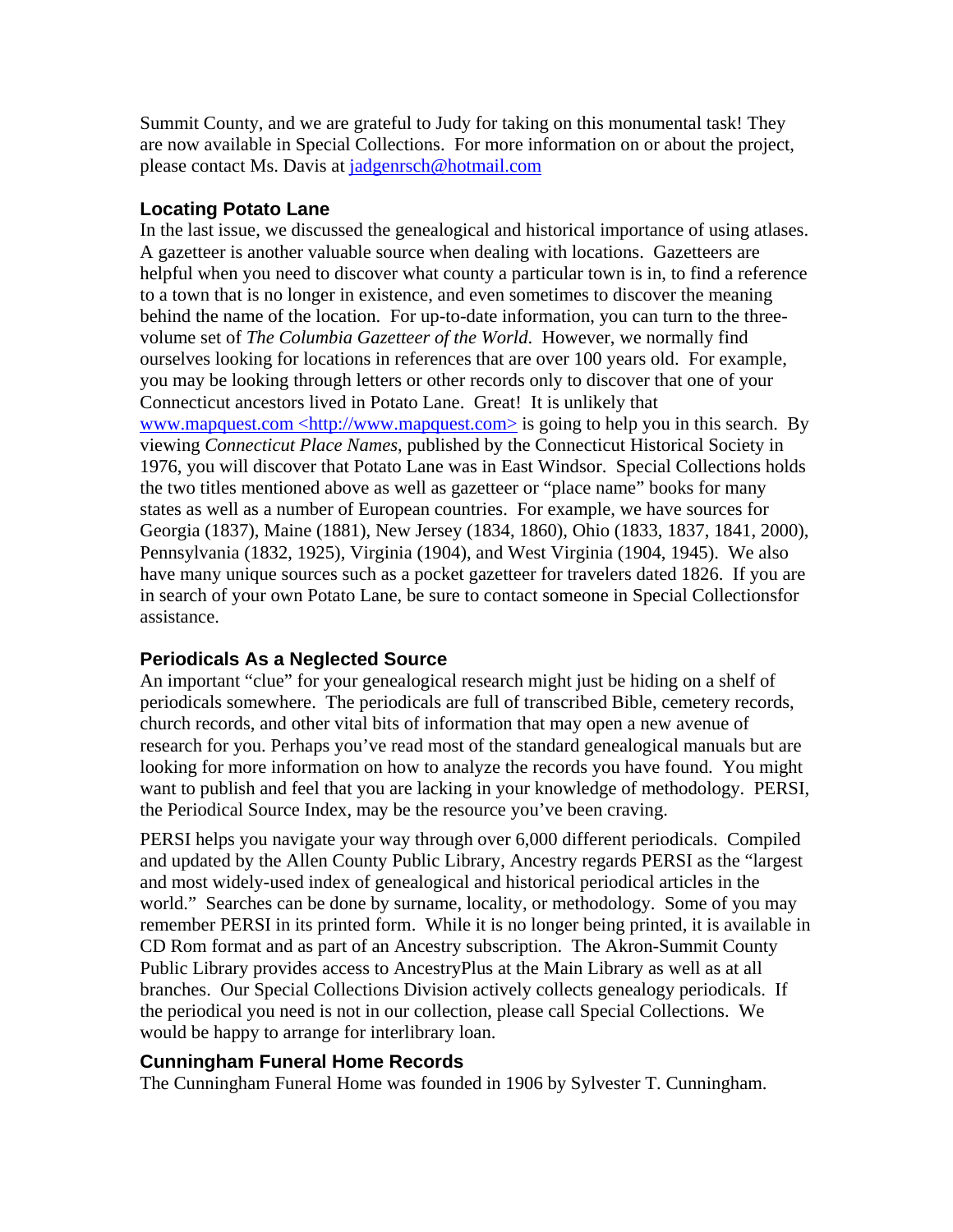Summit County, and we are grateful to Judy for taking on this monumental task! They are now available in Special Collections. For more information on or about the project, please contact Ms. Davis at jadgenrsch@hotmail.com

### **Locating Potato Lane**

In the last issue, we discussed the genealogical and historical importance of using atlases. A gazetteer is another valuable source when dealing with locations. Gazetteers are helpful when you need to discover what county a particular town is in, to find a reference to a town that is no longer in existence, and even sometimes to discover the meaning behind the name of the location. For up-to-date information, you can turn to the threevolume set of *The Columbia Gazetteer of the World*. However, we normally find ourselves looking for locations in references that are over 100 years old. For example, you may be looking through letters or other records only to discover that one of your Connecticut ancestors lived in Potato Lane. Great! It is unlikely that www.mapquest.com <http://www.mapquest.com> is going to help you in this search. By viewing *Connecticut Place Names*, published by the Connecticut Historical Society in 1976, you will discover that Potato Lane was in East Windsor. Special Collections holds the two titles mentioned above as well as gazetteer or "place name" books for many states as well as a number of European countries. For example, we have sources for Georgia (1837), Maine (1881), New Jersey (1834, 1860), Ohio (1833, 1837, 1841, 2000), Pennsylvania (1832, 1925), Virginia (1904), and West Virginia (1904, 1945). We also have many unique sources such as a pocket gazetteer for travelers dated 1826. If you are in search of your own Potato Lane, be sure to contact someone in Special Collectionsfor assistance.

# **Periodicals As a Neglected Source**

An important "clue" for your genealogical research might just be hiding on a shelf of periodicals somewhere. The periodicals are full of transcribed Bible, cemetery records, church records, and other vital bits of information that may open a new avenue of research for you. Perhaps you've read most of the standard genealogical manuals but are looking for more information on how to analyze the records you have found. You might want to publish and feel that you are lacking in your knowledge of methodology. PERSI, the Periodical Source Index, may be the resource you've been craving.

PERSI helps you navigate your way through over 6,000 different periodicals. Compiled and updated by the Allen County Public Library, Ancestry regards PERSI as the "largest and most widely-used index of genealogical and historical periodical articles in the world." Searches can be done by surname, locality, or methodology. Some of you may remember PERSI in its printed form. While it is no longer being printed, it is available in CD Rom format and as part of an Ancestry subscription. The Akron-Summit County Public Library provides access to AncestryPlus at the Main Library as well as at all branches. Our Special Collections Division actively collects genealogy periodicals. If the periodical you need is not in our collection, please call Special Collections. We would be happy to arrange for interlibrary loan.

# **Cunningham Funeral Home Records**

The Cunningham Funeral Home was founded in 1906 by Sylvester T. Cunningham.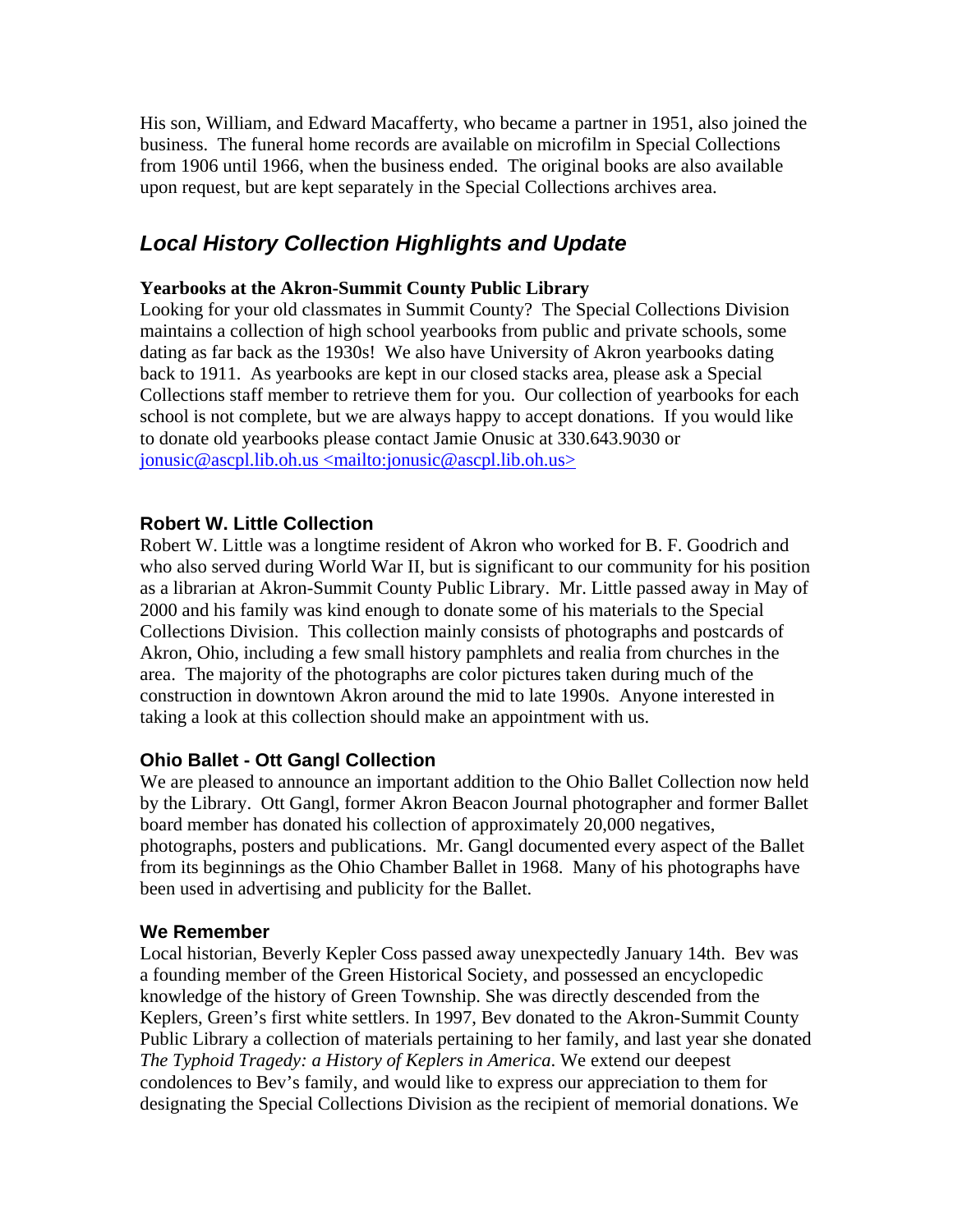His son, William, and Edward Macafferty, who became a partner in 1951, also joined the business. The funeral home records are available on microfilm in Special Collections from 1906 until 1966, when the business ended. The original books are also available upon request, but are kept separately in the Special Collections archives area.

# *Local History Collection Highlights and Update*

### **Yearbooks at the Akron-Summit County Public Library**

Looking for your old classmates in Summit County? The Special Collections Division maintains a collection of high school yearbooks from public and private schools, some dating as far back as the 1930s! We also have University of Akron yearbooks dating back to 1911. As yearbooks are kept in our closed stacks area, please ask a Special Collections staff member to retrieve them for you. Our collection of yearbooks for each school is not complete, but we are always happy to accept donations. If you would like to donate old yearbooks please contact Jamie Onusic at 330.643.9030 or jonusic@ascpl.lib.oh.us <mailto:jonusic@ascpl.lib.oh.us>

### **Robert W. Little Collection**

Robert W. Little was a longtime resident of Akron who worked for B. F. Goodrich and who also served during World War II, but is significant to our community for his position as a librarian at Akron-Summit County Public Library. Mr. Little passed away in May of 2000 and his family was kind enough to donate some of his materials to the Special Collections Division. This collection mainly consists of photographs and postcards of Akron, Ohio, including a few small history pamphlets and realia from churches in the area. The majority of the photographs are color pictures taken during much of the construction in downtown Akron around the mid to late 1990s. Anyone interested in taking a look at this collection should make an appointment with us.

### **Ohio Ballet - Ott Gangl Collection**

We are pleased to announce an important addition to the Ohio Ballet Collection now held by the Library. Ott Gangl, former Akron Beacon Journal photographer and former Ballet board member has donated his collection of approximately 20,000 negatives, photographs, posters and publications. Mr. Gangl documented every aspect of the Ballet from its beginnings as the Ohio Chamber Ballet in 1968. Many of his photographs have been used in advertising and publicity for the Ballet.

### **We Remember**

Local historian, Beverly Kepler Coss passed away unexpectedly January 14th. Bev was a founding member of the Green Historical Society, and possessed an encyclopedic knowledge of the history of Green Township. She was directly descended from the Keplers, Green's first white settlers. In 1997, Bev donated to the Akron-Summit County Public Library a collection of materials pertaining to her family, and last year she donated *The Typhoid Tragedy: a History of Keplers in America*. We extend our deepest condolences to Bev's family, and would like to express our appreciation to them for designating the Special Collections Division as the recipient of memorial donations. We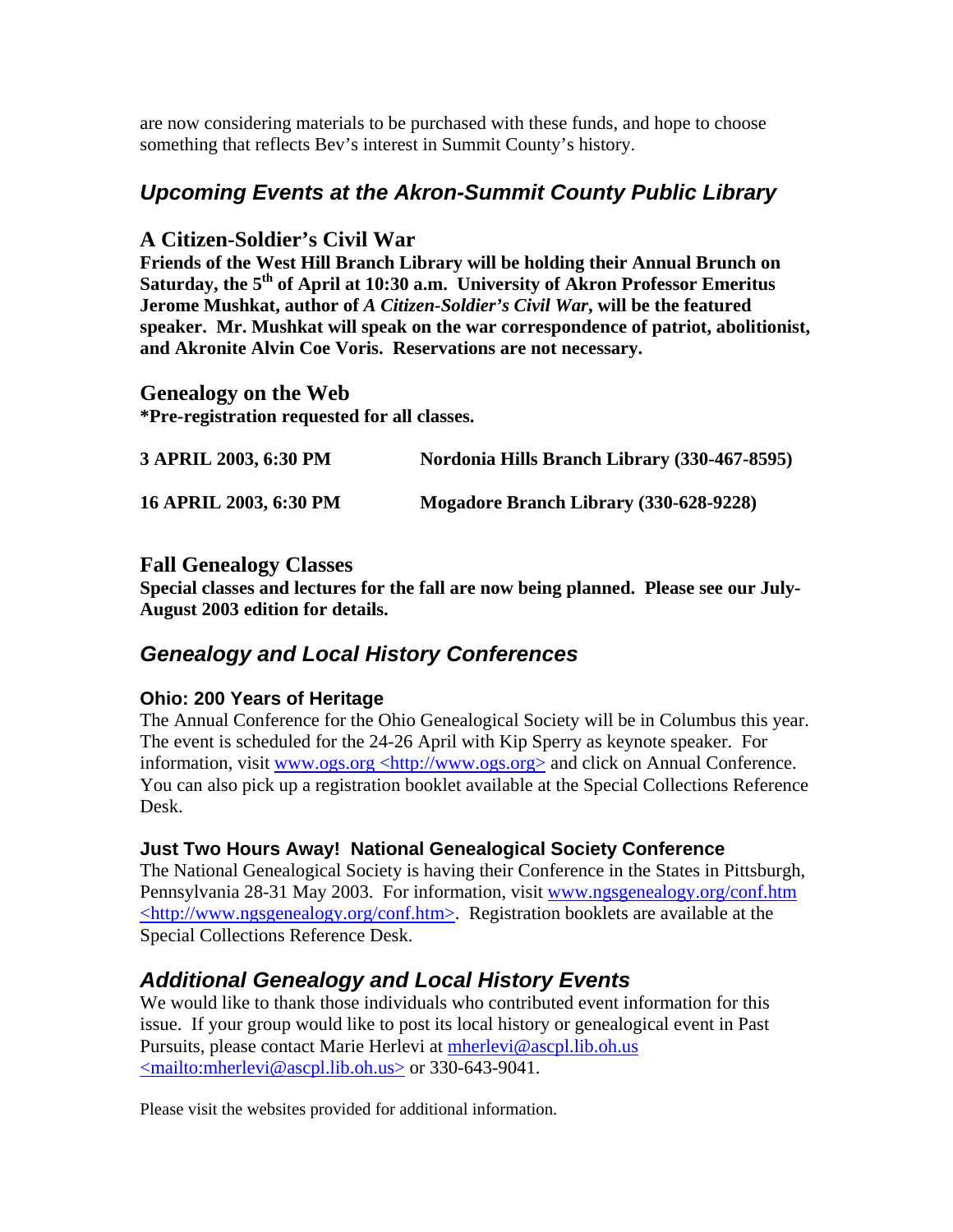are now considering materials to be purchased with these funds, and hope to choose something that reflects Bev's interest in Summit County's history.

# *Upcoming Events at the Akron-Summit County Public Library*

### **A Citizen-Soldier's Civil War**

**Friends of the West Hill Branch Library will be holding their Annual Brunch on**  Saturday, the 5<sup>th</sup> of April at 10:30 a.m. University of Akron Professor Emeritus **Jerome Mushkat, author of** *A Citizen-Soldier's Civil War***, will be the featured speaker. Mr. Mushkat will speak on the war correspondence of patriot, abolitionist, and Akronite Alvin Coe Voris. Reservations are not necessary.** 

### **Genealogy on the Web**

**\*Pre-registration requested for all classes.** 

| 3 APRIL 2003, 6:30 PM  | Nordonia Hills Branch Library (330-467-8595) |
|------------------------|----------------------------------------------|
| 16 APRIL 2003, 6:30 PM | Mogadore Branch Library (330-628-9228)       |

### **Fall Genealogy Classes**

**Special classes and lectures for the fall are now being planned. Please see our July-August 2003 edition for details.** 

# *Genealogy and Local History Conferences*

### **Ohio: 200 Years of Heritage**

The Annual Conference for the Ohio Genealogical Society will be in Columbus this year. The event is scheduled for the 24-26 April with Kip Sperry as keynote speaker. For information, visit www.ogs.org <http://www.ogs.org> and click on Annual Conference. You can also pick up a registration booklet available at the Special Collections Reference Desk.

### **Just Two Hours Away! National Genealogical Society Conference**

The National Genealogical Society is having their Conference in the States in Pittsburgh, Pennsylvania 28-31 May 2003. For information, visit www.ngsgenealogy.org/conf.htm <http://www.ngsgenealogy.org/conf.htm>. Registration booklets are available at the Special Collections Reference Desk.

# *Additional Genealogy and Local History Events*

We would like to thank those individuals who contributed event information for this issue. If your group would like to post its local history or genealogical event in Past Pursuits, please contact Marie Herlevi at mherlevi@ascpl.lib.oh.us <mailto:mherlevi@ascpl.lib.oh.us> or 330-643-9041.

Please visit the websites provided for additional information.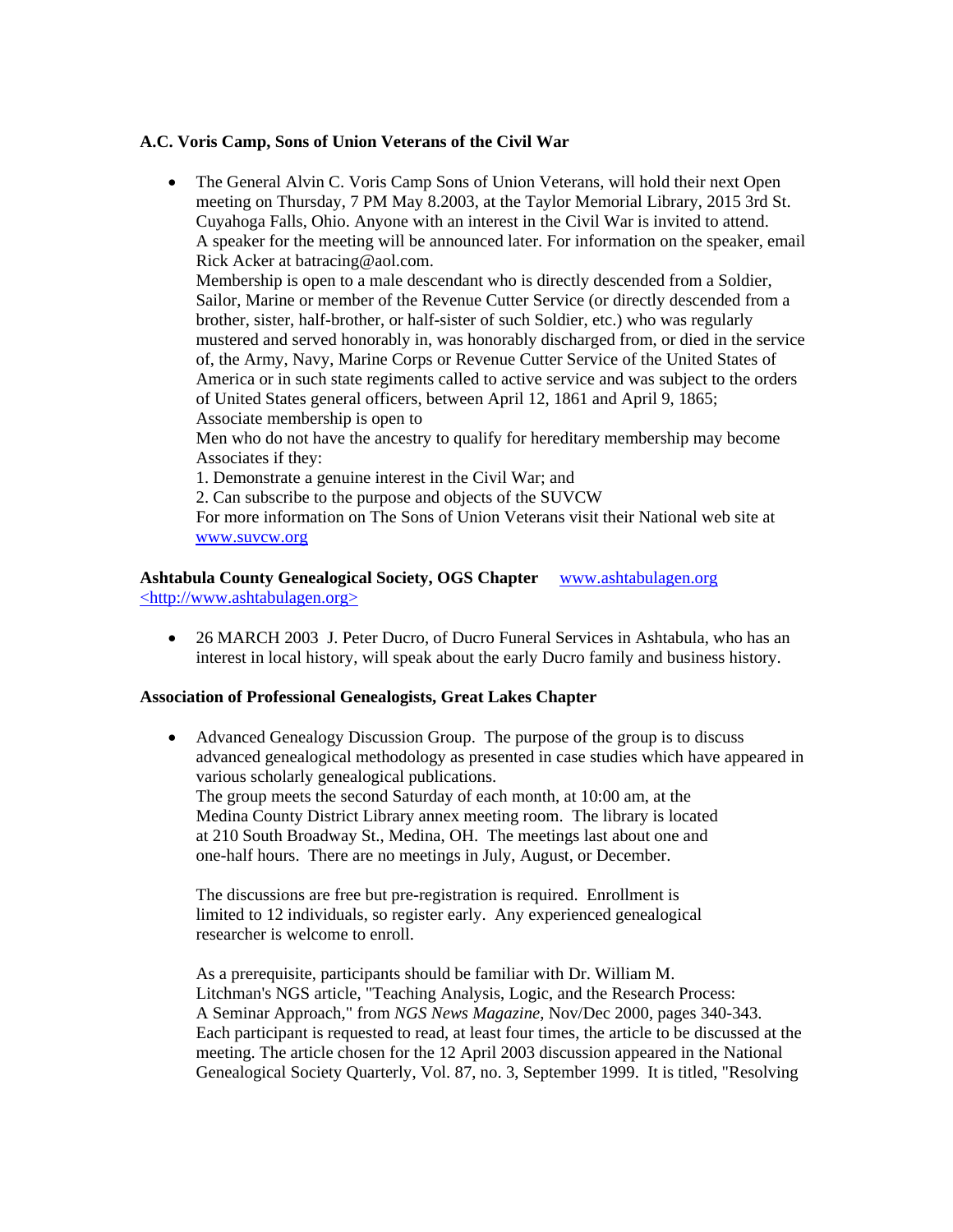### **A.C. Voris Camp, Sons of Union Veterans of the Civil War**

• The General Alvin C. Voris Camp Sons of Union Veterans, will hold their next Open meeting on Thursday, 7 PM May 8.2003, at the Taylor Memorial Library, 2015 3rd St. Cuyahoga Falls, Ohio. Anyone with an interest in the Civil War is invited to attend. A speaker for the meeting will be announced later. For information on the speaker, email Rick Acker at batracing@aol.com.

Membership is open to a male descendant who is directly descended from a Soldier, Sailor, Marine or member of the Revenue Cutter Service (or directly descended from a brother, sister, half-brother, or half-sister of such Soldier, etc.) who was regularly mustered and served honorably in, was honorably discharged from, or died in the service of, the Army, Navy, Marine Corps or Revenue Cutter Service of the United States of America or in such state regiments called to active service and was subject to the orders of United States general officers, between April 12, 1861 and April 9, 1865; Associate membership is open to

Men who do not have the ancestry to qualify for hereditary membership may become Associates if they:

1. Demonstrate a genuine interest in the Civil War; and

2. Can subscribe to the purpose and objects of the SUVCW

For more information on The Sons of Union Veterans visit their National web site at [www.suvcw.org](http://www.suvcw.org/)

**Ashtabula County Genealogical Society, OGS Chapter** www.ashtabulagen.org <http://www.ashtabulagen.org>

• 26 MARCH 2003 J. Peter Ducro, of Ducro Funeral Services in Ashtabula, who has an interest in local history, will speak about the early Ducro family and business history.

### **Association of Professional Genealogists, Great Lakes Chapter**

• Advanced Genealogy Discussion Group. The purpose of the group is to discuss advanced genealogical methodology as presented in case studies which have appeared in various scholarly genealogical publications. The group meets the second Saturday of each month, at 10:00 am, at the Medina County District Library annex meeting room. The library is located at 210 South Broadway St., Medina, OH. The meetings last about one and one-half hours. There are no meetings in July, August, or December.

The discussions are free but pre-registration is required. Enrollment is limited to 12 individuals, so register early. Any experienced genealogical researcher is welcome to enroll.

As a prerequisite, participants should be familiar with Dr. William M. Litchman's NGS article, "Teaching Analysis, Logic, and the Research Process: A Seminar Approach," from *NGS News Magazine*, Nov/Dec 2000, pages 340-343. Each participant is requested to read, at least four times, the article to be discussed at the meeting. The article chosen for the 12 April 2003 discussion appeared in the National Genealogical Society Quarterly, Vol. 87, no. 3, September 1999. It is titled, "Resolving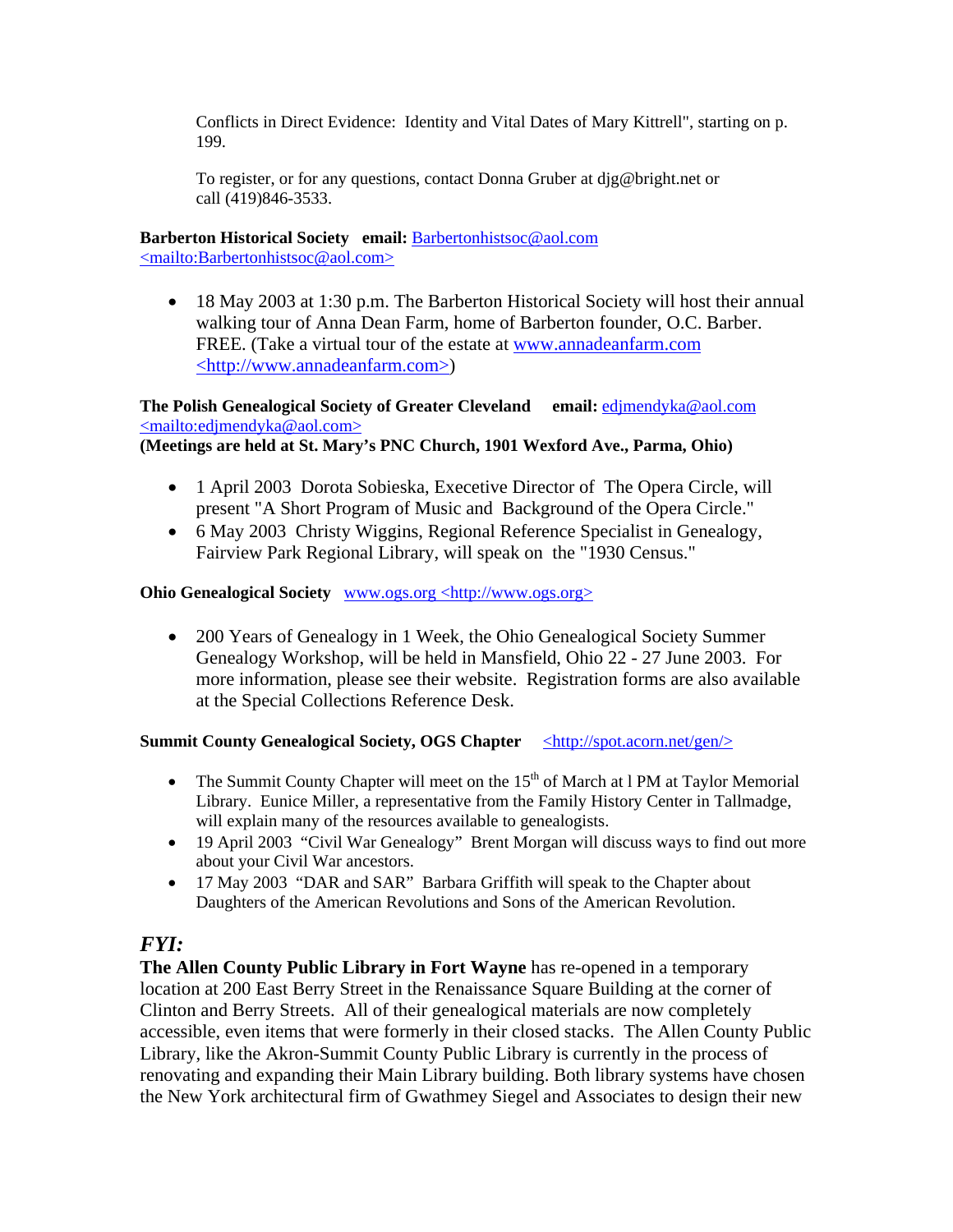Conflicts in Direct Evidence: Identity and Vital Dates of Mary Kittrell", starting on p. 199.

To register, or for any questions, contact Donna Gruber at djg@bright.net or call (419)846-3533.

# **Barberton Historical Society email:** Barbertonhistsoc@aol.com

<mailto:Barbertonhistsoc@aol.com>

• 18 May 2003 at 1:30 p.m. The Barberton Historical Society will host their annual walking tour of Anna Dean Farm, home of Barberton founder, O.C. Barber. FREE. (Take a virtual tour of the estate at www.annadeanfarm.com <http://www.annadeanfarm.com>)

### **The Polish Genealogical Society of Greater Cleveland email:** edjmendyka@aol.com <mailto:edjmendyka@aol.com> **(Meetings are held at St. Mary's PNC Church, 1901 Wexford Ave., Parma, Ohio)**

- 1 April 2003 Dorota Sobieska, Execetive Director of The Opera Circle, will present "A Short Program of Music and Background of the Opera Circle."
- 6 May 2003 Christy Wiggins, Regional Reference Specialist in Genealogy, Fairview Park Regional Library, will speak on the "1930 Census."

### **Ohio Genealogical Society www.ogs.org <http://www.ogs.org>**

• 200 Years of Genealogy in 1 Week, the Ohio Genealogical Society Summer Genealogy Workshop, will be held in Mansfield, Ohio 22 - 27 June 2003. For more information, please see their website. Registration forms are also available at the Special Collections Reference Desk.

### **Summit County Genealogical Society, OGS Chapter** <http://spot.acorn.net/gen/>

- The Summit County Chapter will meet on the  $15<sup>th</sup>$  of March at l PM at Taylor Memorial Library. Eunice Miller, a representative from the Family History Center in Tallmadge, will explain many of the resources available to genealogists.
- 19 April 2003 "Civil War Genealogy" Brent Morgan will discuss ways to find out more about your Civil War ancestors.
- 17 May 2003 "DAR and SAR" Barbara Griffith will speak to the Chapter about Daughters of the American Revolutions and Sons of the American Revolution.

# *FYI:*

**The Allen County Public Library in Fort Wayne** has re-opened in a temporary location at 200 East Berry Street in the Renaissance Square Building at the corner of Clinton and Berry Streets. All of their genealogical materials are now completely accessible, even items that were formerly in their closed stacks. The Allen County Public Library, like the Akron-Summit County Public Library is currently in the process of renovating and expanding their Main Library building. Both library systems have chosen the New York architectural firm of Gwathmey Siegel and Associates to design their new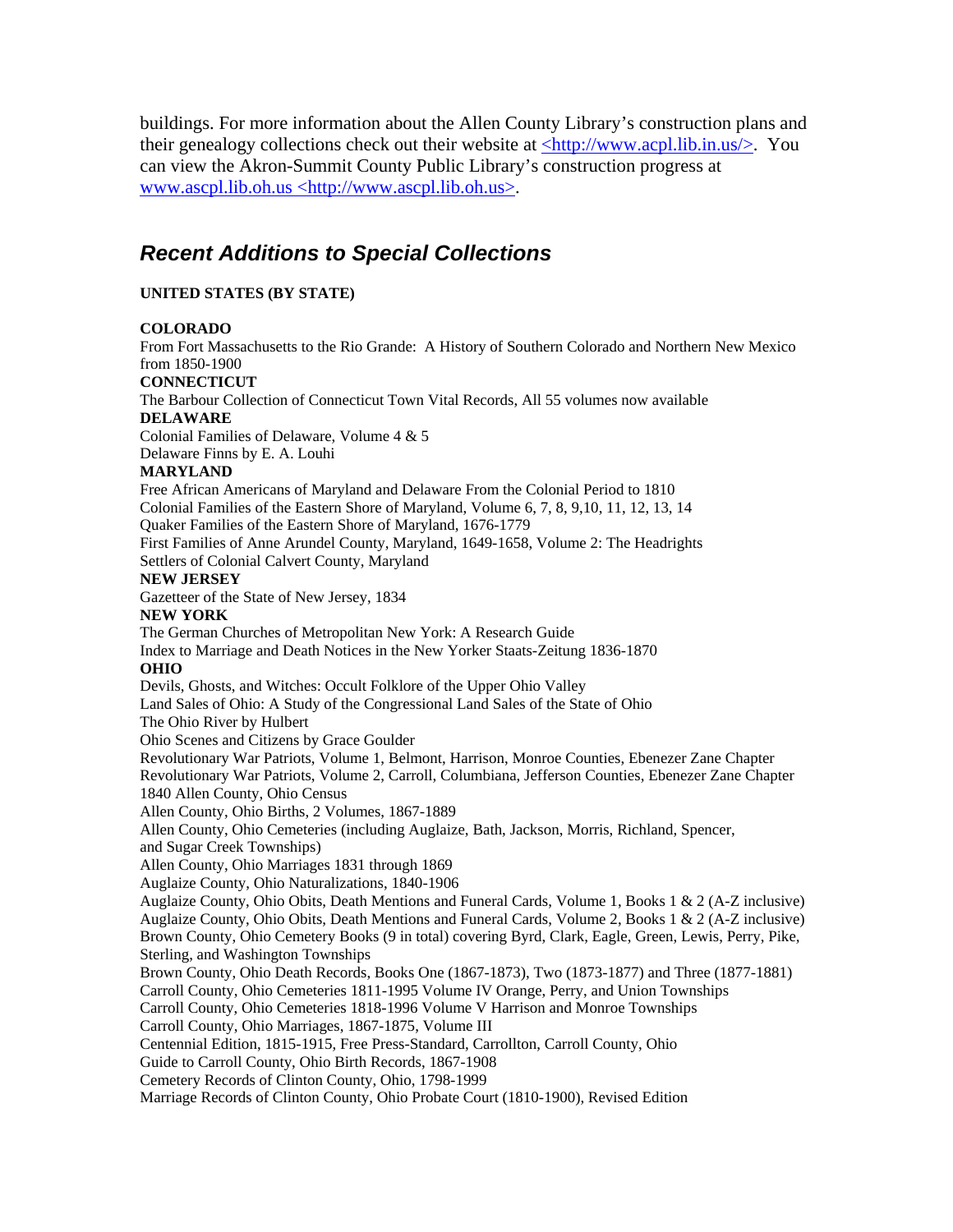buildings. For more information about the Allen County Library's construction plans and their genealogy collections check out their website at <http://www.acpl.lib.in.us/>. You can view the Akron-Summit County Public Library's construction progress at www.ascpl.lib.oh.us <http://www.ascpl.lib.oh.us>.

# *Recent Additions to Special Collections*

### **UNITED STATES (BY STATE)**

#### **COLORADO**

From Fort Massachusetts to the Rio Grande: A History of Southern Colorado and Northern New Mexico from 1850-1900

#### **CONNECTICUT**

The Barbour Collection of Connecticut Town Vital Records, All 55 volumes now available **DELAWARE** 

Colonial Families of Delaware, Volume 4 & 5

Delaware Finns by E. A. Louhi

### **MARYLAND**

Free African Americans of Maryland and Delaware From the Colonial Period to 1810 Colonial Families of the Eastern Shore of Maryland, Volume 6, 7, 8, 9,10, 11, 12, 13, 14 Quaker Families of the Eastern Shore of Maryland, 1676-1779

First Families of Anne Arundel County, Maryland, 1649-1658, Volume 2: The Headrights Settlers of Colonial Calvert County, Maryland

#### **NEW JERSEY**

Gazetteer of the State of New Jersey, 1834

#### **NEW YORK**

The German Churches of Metropolitan New York: A Research Guide Index to Marriage and Death Notices in the New Yorker Staats-Zeitung 1836-1870

### **OHIO**

Devils, Ghosts, and Witches: Occult Folklore of the Upper Ohio Valley Land Sales of Ohio: A Study of the Congressional Land Sales of the State of Ohio The Ohio River by Hulbert Ohio Scenes and Citizens by Grace Goulder Revolutionary War Patriots, Volume 1, Belmont, Harrison, Monroe Counties, Ebenezer Zane Chapter Revolutionary War Patriots, Volume 2, Carroll, Columbiana, Jefferson Counties, Ebenezer Zane Chapter 1840 Allen County, Ohio Census

Allen County, Ohio Births, 2 Volumes, 1867-1889

Allen County, Ohio Cemeteries (including Auglaize, Bath, Jackson, Morris, Richland, Spencer,

and Sugar Creek Townships)

Allen County, Ohio Marriages 1831 through 1869

Auglaize County, Ohio Naturalizations, 1840-1906

Auglaize County, Ohio Obits, Death Mentions and Funeral Cards, Volume 1, Books 1 & 2 (A-Z inclusive) Auglaize County, Ohio Obits, Death Mentions and Funeral Cards, Volume 2, Books 1 & 2 (A-Z inclusive) Brown County, Ohio Cemetery Books (9 in total) covering Byrd, Clark, Eagle, Green, Lewis, Perry, Pike, Sterling, and Washington Townships

Brown County, Ohio Death Records, Books One (1867-1873), Two (1873-1877) and Three (1877-1881)

Carroll County, Ohio Cemeteries 1811-1995 Volume IV Orange, Perry, and Union Townships

Carroll County, Ohio Cemeteries 1818-1996 Volume V Harrison and Monroe Townships

Carroll County, Ohio Marriages, 1867-1875, Volume III

Centennial Edition, 1815-1915, Free Press-Standard, Carrollton, Carroll County, Ohio

Guide to Carroll County, Ohio Birth Records, 1867-1908

Cemetery Records of Clinton County, Ohio, 1798-1999

Marriage Records of Clinton County, Ohio Probate Court (1810-1900), Revised Edition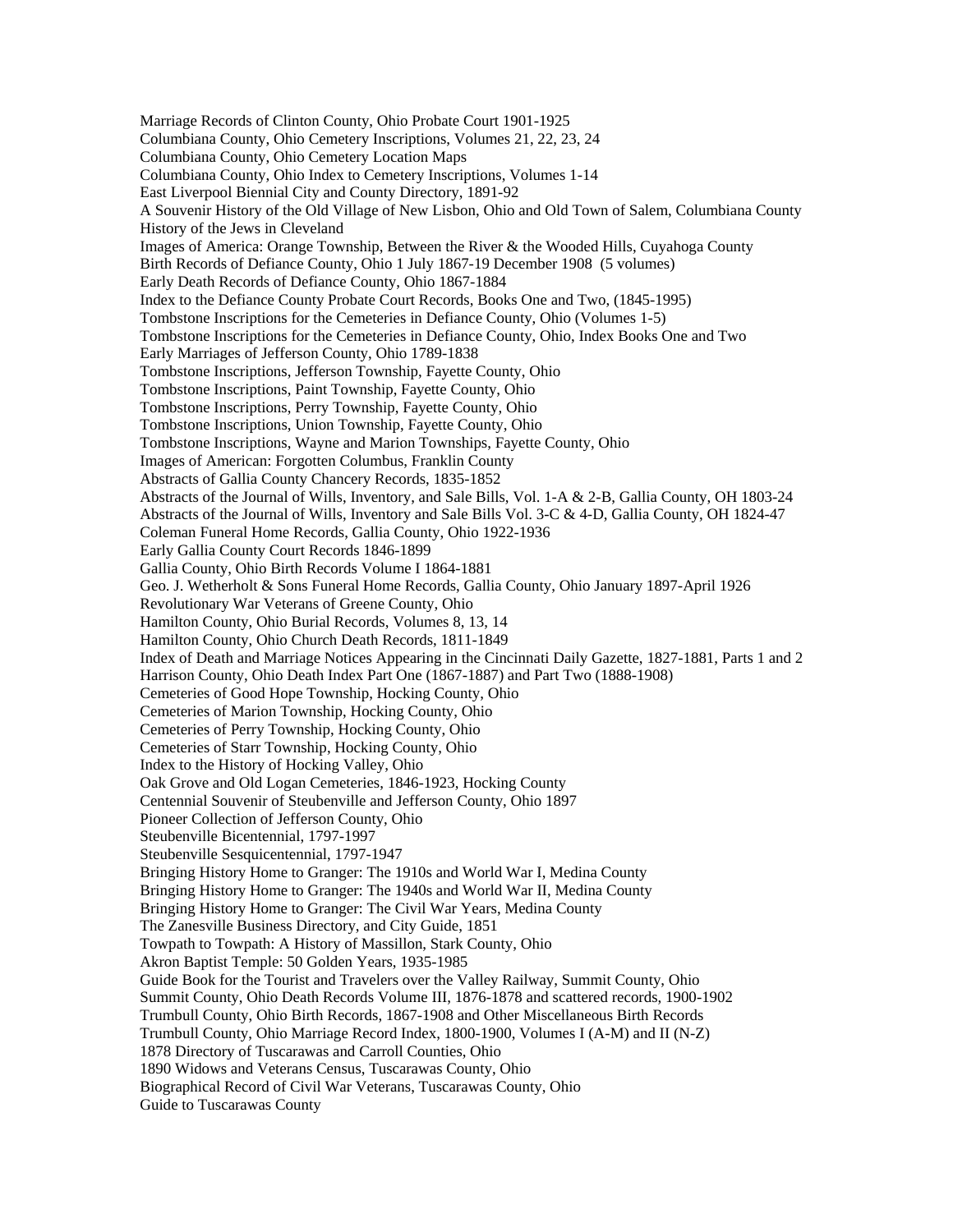Marriage Records of Clinton County, Ohio Probate Court 1901-1925 Columbiana County, Ohio Cemetery Inscriptions, Volumes 21, 22, 23, 24 Columbiana County, Ohio Cemetery Location Maps Columbiana County, Ohio Index to Cemetery Inscriptions, Volumes 1-14 East Liverpool Biennial City and County Directory, 1891-92 A Souvenir History of the Old Village of New Lisbon, Ohio and Old Town of Salem, Columbiana County History of the Jews in Cleveland Images of America: Orange Township, Between the River & the Wooded Hills, Cuyahoga County Birth Records of Defiance County, Ohio 1 July 1867-19 December 1908 (5 volumes) Early Death Records of Defiance County, Ohio 1867-1884 Index to the Defiance County Probate Court Records, Books One and Two, (1845-1995) Tombstone Inscriptions for the Cemeteries in Defiance County, Ohio (Volumes 1-5) Tombstone Inscriptions for the Cemeteries in Defiance County, Ohio, Index Books One and Two Early Marriages of Jefferson County, Ohio 1789-1838 Tombstone Inscriptions, Jefferson Township, Fayette County, Ohio Tombstone Inscriptions, Paint Township, Fayette County, Ohio Tombstone Inscriptions, Perry Township, Fayette County, Ohio Tombstone Inscriptions, Union Township, Fayette County, Ohio Tombstone Inscriptions, Wayne and Marion Townships, Fayette County, Ohio Images of American: Forgotten Columbus, Franklin County Abstracts of Gallia County Chancery Records, 1835-1852 Abstracts of the Journal of Wills, Inventory, and Sale Bills, Vol. 1-A & 2-B, Gallia County, OH 1803-24 Abstracts of the Journal of Wills, Inventory and Sale Bills Vol. 3-C & 4-D, Gallia County, OH 1824-47 Coleman Funeral Home Records, Gallia County, Ohio 1922-1936 Early Gallia County Court Records 1846-1899 Gallia County, Ohio Birth Records Volume I 1864-1881 Geo. J. Wetherholt & Sons Funeral Home Records, Gallia County, Ohio January 1897-April 1926 Revolutionary War Veterans of Greene County, Ohio Hamilton County, Ohio Burial Records, Volumes 8, 13, 14 Hamilton County, Ohio Church Death Records, 1811-1849 Index of Death and Marriage Notices Appearing in the Cincinnati Daily Gazette, 1827-1881, Parts 1 and 2 Harrison County, Ohio Death Index Part One (1867-1887) and Part Two (1888-1908) Cemeteries of Good Hope Township, Hocking County, Ohio Cemeteries of Marion Township, Hocking County, Ohio Cemeteries of Perry Township, Hocking County, Ohio Cemeteries of Starr Township, Hocking County, Ohio Index to the History of Hocking Valley, Ohio Oak Grove and Old Logan Cemeteries, 1846-1923, Hocking County Centennial Souvenir of Steubenville and Jefferson County, Ohio 1897 Pioneer Collection of Jefferson County, Ohio Steubenville Bicentennial, 1797-1997 Steubenville Sesquicentennial, 1797-1947 Bringing History Home to Granger: The 1910s and World War I, Medina County Bringing History Home to Granger: The 1940s and World War II, Medina County Bringing History Home to Granger: The Civil War Years, Medina County The Zanesville Business Directory, and City Guide, 1851 Towpath to Towpath: A History of Massillon, Stark County, Ohio Akron Baptist Temple: 50 Golden Years, 1935-1985 Guide Book for the Tourist and Travelers over the Valley Railway, Summit County, Ohio Summit County, Ohio Death Records Volume III, 1876-1878 and scattered records, 1900-1902 Trumbull County, Ohio Birth Records, 1867-1908 and Other Miscellaneous Birth Records Trumbull County, Ohio Marriage Record Index, 1800-1900, Volumes I (A-M) and II (N-Z) 1878 Directory of Tuscarawas and Carroll Counties, Ohio 1890 Widows and Veterans Census, Tuscarawas County, Ohio Biographical Record of Civil War Veterans, Tuscarawas County, Ohio Guide to Tuscarawas County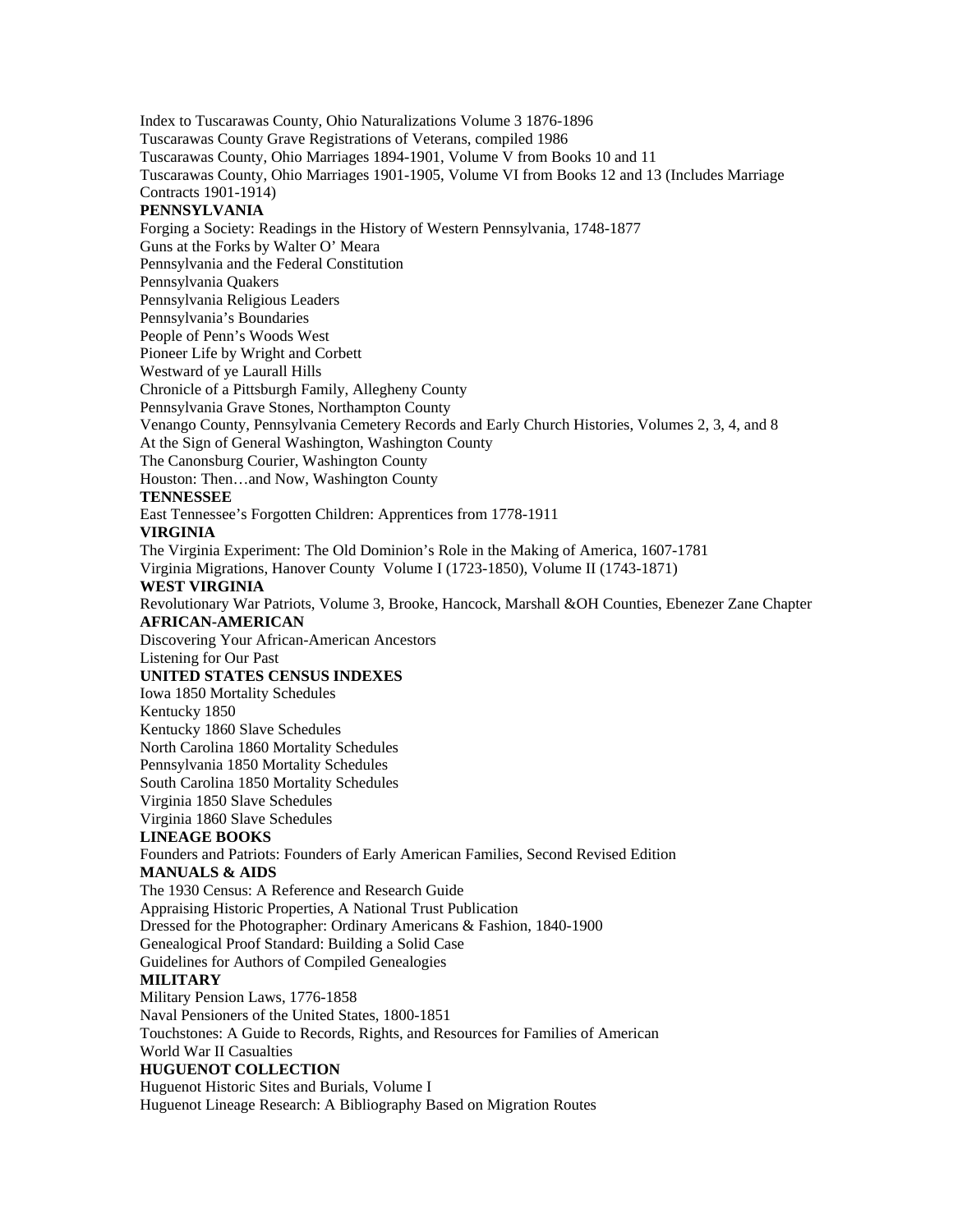Index to Tuscarawas County, Ohio Naturalizations Volume 3 1876-1896 Tuscarawas County Grave Registrations of Veterans, compiled 1986 Tuscarawas County, Ohio Marriages 1894-1901, Volume V from Books 10 and 11 Tuscarawas County, Ohio Marriages 1901-1905, Volume VI from Books 12 and 13 (Includes Marriage Contracts 1901-1914) **PENNSYLVANIA**  Forging a Society: Readings in the History of Western Pennsylvania, 1748-1877 Guns at the Forks by Walter O' Meara Pennsylvania and the Federal Constitution Pennsylvania Quakers Pennsylvania Religious Leaders Pennsylvania's Boundaries People of Penn's Woods West Pioneer Life by Wright and Corbett Westward of ye Laurall Hills Chronicle of a Pittsburgh Family, Allegheny County Pennsylvania Grave Stones, Northampton County Venango County, Pennsylvania Cemetery Records and Early Church Histories, Volumes 2, 3, 4, and 8 At the Sign of General Washington, Washington County The Canonsburg Courier, Washington County Houston: Then…and Now, Washington County **TENNESSEE**  East Tennessee's Forgotten Children: Apprentices from 1778-1911 **VIRGINIA**  The Virginia Experiment: The Old Dominion's Role in the Making of America, 1607-1781 Virginia Migrations, Hanover County Volume I (1723-1850), Volume II (1743-1871) **WEST VIRGINIA**  Revolutionary War Patriots, Volume 3, Brooke, Hancock, Marshall &OH Counties, Ebenezer Zane Chapter **AFRICAN-AMERICAN**  Discovering Your African-American Ancestors Listening for Our Past **UNITED STATES CENSUS INDEXES**  Iowa 1850 Mortality Schedules Kentucky 1850 Kentucky 1860 Slave Schedules North Carolina 1860 Mortality Schedules Pennsylvania 1850 Mortality Schedules South Carolina 1850 Mortality Schedules Virginia 1850 Slave Schedules Virginia 1860 Slave Schedules **LINEAGE BOOKS**  Founders and Patriots: Founders of Early American Families, Second Revised Edition **MANUALS & AIDS**  The 1930 Census: A Reference and Research Guide Appraising Historic Properties, A National Trust Publication Dressed for the Photographer: Ordinary Americans & Fashion, 1840-1900 Genealogical Proof Standard: Building a Solid Case Guidelines for Authors of Compiled Genealogies **MILITARY**  Military Pension Laws, 1776-1858 Naval Pensioners of the United States, 1800-1851 Touchstones: A Guide to Records, Rights, and Resources for Families of American World War II Casualties **HUGUENOT COLLECTION**  Huguenot Historic Sites and Burials, Volume I Huguenot Lineage Research: A Bibliography Based on Migration Routes